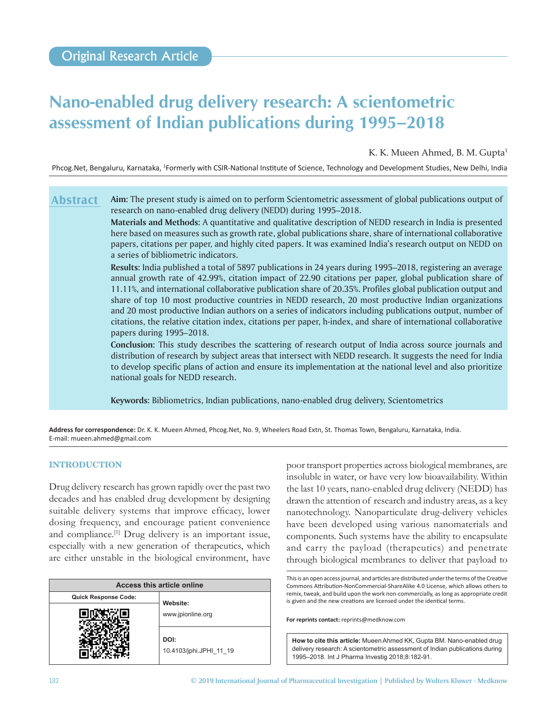# **Nano‑enabled drug delivery research: A scientometric assessment of Indian publications during 1995–2018**

K. K. Mueen Ahmed, B. M. Gupta<sup>1</sup>

Phcog.Net, Bengaluru, Karnataka, <sup>1</sup>Formerly with CSIR-National Institute of Science, Technology and Development Studies, New Delhi, India

#### **Aim:** The present study is aimed on to perform Scientometric assessment of global publications output of research on nano-enabled drug delivery (NEDD) during 1995–2018. **Abstract**

**Materials and Methods:** A quantitative and qualitative description of NEDD research in India is presented here based on measures such as growth rate, global publications share, share of international collaborative papers, citations per paper, and highly cited papers. It was examined India's research output on NEDD on a series of bibliometric indicators.

**Results:** India published a total of 5897 publications in 24 years during 1995–2018, registering an average annual growth rate of 42.99%, citation impact of 22.90 citations per paper, global publication share of 11.11%, and international collaborative publication share of 20.35%. Profiles global publication output and share of top 10 most productive countries in NEDD research, 20 most productive Indian organizations and 20 most productive Indian authors on a series of indicators including publications output, number of citations, the relative citation index, citations per paper, h-index, and share of international collaborative papers during 1995–2018.

**Conclusion:** This study describes the scattering of research output of India across source journals and distribution of research by subject areas that intersect with NEDD research. It suggests the need for India to develop specific plans of action and ensure its implementation at the national level and also prioritize national goals for NEDD research.

**Keywords:** Bibliometrics, Indian publications, nano-enabled drug delivery, Scientometrics

**Address for correspondence:** Dr. K. K. Mueen Ahmed, Phcog.Net, No. 9, Wheelers Road Extn, St. Thomas Town, Bengaluru, Karnataka, India. E‑mail: mueen.ahmed@gmail.com

## **INTRODUCTION**

Drug delivery research has grown rapidly over the past two decades and has enabled drug development by designing suitable delivery systems that improve efficacy, lower dosing frequency, and encourage patient convenience and compliance.<sup>[1]</sup> Drug delivery is an important issue, especially with a new generation of therapeutics, which are either unstable in the biological environment, have

| Access this article online  |                                 |  |  |  |  |  |
|-----------------------------|---------------------------------|--|--|--|--|--|
| <b>Quick Response Code:</b> | Website:                        |  |  |  |  |  |
|                             | www.jpionline.org               |  |  |  |  |  |
|                             | DOI:<br>10.4103/jphi.JPHI 11 19 |  |  |  |  |  |

poor transport properties across biological membranes, are insoluble in water, or have very low bioavailability. Within the last 10 years, nano-enabled drug delivery (NEDD) has drawn the attention of research and industry areas, as a key nanotechnology. Nanoparticulate drug-delivery vehicles have been developed using various nanomaterials and components. Such systems have the ability to encapsulate and carry the payload (therapeutics) and penetrate through biological membranes to deliver that payload to

This is an open access journal, and articles are distributed under the terms of the Creative Commons Attribution‑NonCommercial‑ShareAlike 4.0 License, which allows others to remix, tweak, and build upon the work non‑commercially, as long as appropriate credit is given and the new creations are licensed under the identical terms.

**For reprints contact:** reprints@medknow.com

**How to cite this article:** Mueen Ahmed KK, Gupta BM. Nano-enabled drug delivery research: A scientometric assessment of Indian publications during 1995–2018. Int J Pharma Investig 2018;8:182-91.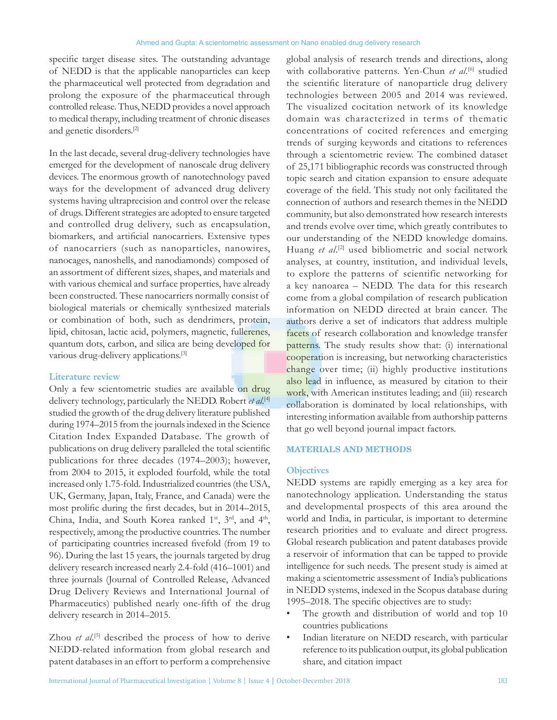specific target disease sites. The outstanding advantage of NEDD is that the applicable nanoparticles can keep the pharmaceutical well protected from degradation and prolong the exposure of the pharmaceutical through controlled release. Thus, NEDD provides a novel approach to medical therapy, including treatment of chronic diseases and genetic disorders.[2]

In the last decade, several drug-delivery technologies have emerged for the development of nanoscale drug delivery devices. The enormous growth of nanotechnology paved ways for the development of advanced drug delivery systems having ultraprecision and control over the release of drugs. Different strategies are adopted to ensure targeted and controlled drug delivery, such as encapsulation, biomarkers, and artificial nanocarriers. Extensive types of nanocarriers (such as nanoparticles, nanowires, nanocages, nanoshells, and nanodiamonds) composed of an assortment of different sizes, shapes, and materials and with various chemical and surface properties, have already been constructed. These nanocarriers normally consist of biological materials or chemically synthesized materials or combination of both, such as dendrimers, protein, lipid, chitosan, lactic acid, polymers, magnetic, fullerenes, quantum dots, carbon, and silica are being developed for various drug-delivery applications.[3]

#### **Literature review**

Only a few scientometric studies are available on drug delivery technology, particularly the NEDD. Robert *et al*. [4] studied the growth of the drug delivery literature published during 1974–2015 from the journals indexed in the Science Citation Index Expanded Database. The growth of publications on drug delivery paralleled the total scientific publications for three decades (1974–2003); however, from 2004 to 2015, it exploded fourfold, while the total increased only 1.75-fold. Industrialized countries(the USA, UK, Germany, Japan, Italy, France, and Canada) were the most prolific during the first decades, but in 2014–2015, China, India, and South Korea ranked 1<sup>st</sup>, 3<sup>rd</sup>, and 4<sup>th</sup>, respectively, among the productive countries. The number of participating countries increased fivefold (from 19 to 96). During the last 15 years, the journals targeted by drug delivery research increased nearly 2.4‑fold (416–1001) and three journals (Journal of Controlled Release, Advanced Drug Delivery Reviews and International Journal of Pharmaceutics) published nearly one‑fifth of the drug delivery research in 2014–2015.

Zhou *et al.*<sup>[5]</sup> described the process of how to derive NEDD-related information from global research and patent databases in an effort to perform a comprehensive

global analysis of research trends and directions, along with collaborative patterns. Yen-Chun *et al*. [6] studied the scientific literature of nanoparticle drug delivery technologies between 2005 and 2014 was reviewed. The visualized cocitation network of its knowledge domain was characterized in terms of thematic concentrations of cocited references and emerging trends of surging keywords and citations to references through a scientometric review. The combined dataset of 25,171 bibliographic records was constructed through topic search and citation expansion to ensure adequate coverage of the field. This study not only facilitated the connection of authors and research themes in the NEDD community, but also demonstrated how research interests and trends evolve over time, which greatly contributes to our understanding of the NEDD knowledge domains. Huang *et al*. [2] used bibliometric and social network analyses, at country, institution, and individual levels, to explore the patterns of scientific networking for a key nanoarea – NEDD. The data for this research come from a global compilation of research publication information on NEDD directed at brain cancer. The authors derive a set of indicators that address multiple facets of research collaboration and knowledge transfer patterns. The study results show that: (i) international cooperation is increasing, but networking characteristics change over time; (ii) highly productive institutions also lead in influence, as measured by citation to their work, with American institutes leading; and (iii) research collaboration is dominated by local relationships, with interesting information available from authorship patterns that go well beyond journal impact factors.

#### **MATERIALS AND METHODS**

#### **Objectives**

NEDD systems are rapidly emerging as a key area for nanotechnology application. Understanding the status and developmental prospects of this area around the world and India, in particular, is important to determine research priorities and to evaluate and direct progress. Global research publication and patent databases provide a reservoir of information that can be tapped to provide intelligence for such needs. The present study is aimed at making a scientometric assessment of India's publications in NEDD systems, indexed in the Scopus database during 1995–2018. The specific objectives are to study:

- The growth and distribution of world and top 10 countries publications
- Indian literature on NEDD research, with particular reference to its publication output, its global publication share, and citation impact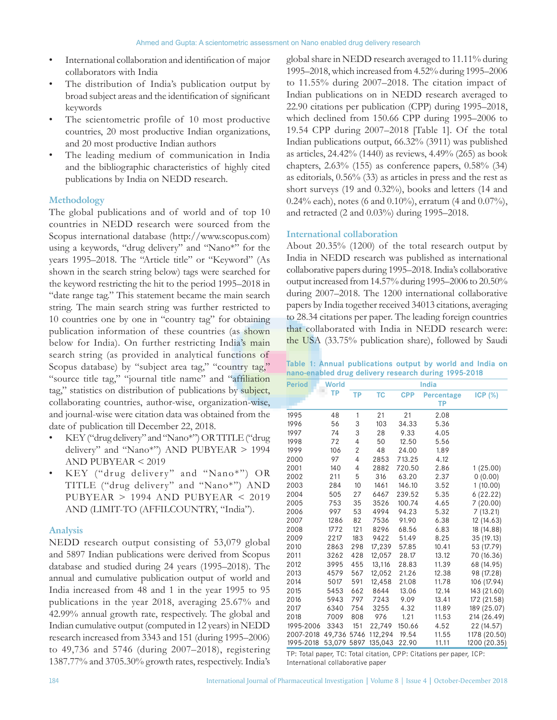- International collaboration and identification of major collaborators with India
- The distribution of India's publication output by broad subject areas and the identification of significant keywords
- The scientometric profile of 10 most productive countries, 20 most productive Indian organizations, and 20 most productive Indian authors
- The leading medium of communication in India and the bibliographic characteristics of highly cited publications by India on NEDD research.

#### **Methodology**

The global publications and of world and of top 10 countries in NEDD research were sourced from the Scopus international database (http://www.scopus.com) using a keywords, "drug delivery" and "Nano\*" for the years 1995–2018. The "Article title" or "Keyword" (As shown in the search string below) tags were searched for the keyword restricting the hit to the period 1995–2018 in "date range tag." This statement became the main search string. The main search string was further restricted to 10 countries one by one in "country tag" for obtaining publication information of these countries (as shown below for India). On further restricting India's main search string (as provided in analytical functions of Scopus database) by "subject area tag," "country tag," "source title tag," "journal title name" and "affiliation tag," statistics on distribution of publications by subject, collaborating countries, author-wise, organization-wise, and journal-wise were citation data was obtained from the date of publication till December 22, 2018.

- KEY("drug delivery" and "Nano\*") OR TITLE("drug delivery" and "Nano\*") AND PUBYEAR > 1994 AND PUBYEAR < 2019
- KEY ("drug delivery" and "Nano\*") OR TITLE ("drug delivery" and "Nano\*") AND PUBYEAR > 1994 AND PUBYEAR < 2019 AND (LIMIT-TO (AFFILCOUNTRY, "India").

#### **Analysis**

NEDD research output consisting of 53,079 global and 5897 Indian publications were derived from Scopus database and studied during 24 years (1995–2018). The annual and cumulative publication output of world and India increased from 48 and 1 in the year 1995 to 95 publications in the year 2018, averaging 25.67% and 42.99% annual growth rate, respectively. The global and Indian cumulative output (computed in 12 years) in NEDD research increased from 3343 and 151 (during 1995–2006) to 49,736 and 5746 (during 2007–2018), registering 1387.77% and 3705.30% growth rates, respectively. India's global share in NEDD research averaged to 11.11% during 1995–2018, which increased from 4.52% during 1995–2006 to 11.55% during 2007–2018. The citation impact of Indian publications on in NEDD research averaged to 22.90 citations per publication (CPP) during 1995–2018, which declined from 150.66 CPP during 1995–2006 to 19.54 CPP during 2007–2018 [Table 1]. Of the total Indian publications output, 66.32% (3911) was published as articles, 24.42% (1440) as reviews, 4.49% (265) as book chapters, 2.63% (155) as conference papers, 0.58% (34) as editorials, 0.56% (33) as articles in press and the rest as short surveys (19 and 0.32%), books and letters (14 and 0.24% each), notes (6 and 0.10%), erratum (4 and 0.07%), and retracted (2 and 0.03%) during 1995–2018.

#### **International collaboration**

About 20.35% (1200) of the total research output by India in NEDD research was published as international collaborative papers during 1995–2018. India's collaborative output increased from 14.57% during 1995–2006 to 20.50% during 2007–2018. The 1200 international collaborative papers by India together received 34013 citations, averaging to 28.34 citations per paper. The leading foreign countries that collaborated with India in NEDD research were: the USA (33.75% publication share), followed by Saudi

|  |  | Table 1: Annual publications output by world and India on |  |  |  |  |
|--|--|-----------------------------------------------------------|--|--|--|--|
|  |  | nano-enabled drug delivery research during 1995-2018      |  |  |  |  |

| <b>Period</b> | <b>World</b> |      |           |            | <b>India</b>            |                |
|---------------|--------------|------|-----------|------------|-------------------------|----------------|
|               | <b>TP</b>    | ТP   | <b>TC</b> | <b>CPP</b> | <b>Percentage</b><br>ТP | <b>ICP (%)</b> |
| 1995          | 48           | 1    | 21        | 21         | 2.08                    |                |
| 1996          | 56           | 3    | 103       | 34.33      | 5.36                    |                |
| 1997          | 74           | 3    | 28        | 9.33       | 4.05                    |                |
| 1998          | 72           | 4    | 50        | 12.50      | 5.56                    |                |
| 1999          | 106          | 2    | 48        | 24.00      | 1.89                    |                |
| 2000          | 97           | 4    | 2853      | 713.25     | 4.12                    |                |
| 2001          | 140          | 4    | 2882      | 720.50     | 2.86                    | 1 (25.00)      |
| 2002          | 211          | 5    | 316       | 63.20      | 2.37                    | 0(0.00)        |
| 2003          | 284          | 10   | 1461      | 146.10     | 3.52                    | 1(10.00)       |
| 2004          | 505          | 27   | 6467      | 239.52     | 5.35                    | 6(22.22)       |
| 2005          | 753          | 35   | 3526      | 100.74     | 4.65                    | 7(20.00)       |
| 2006          | 997          | 53   | 4994      | 94.23      | 5.32                    | 7(13.21)       |
| 2007          | 1286         | 82   | 7536      | 91.90      | 6.38                    | 12 (14.63)     |
| 2008          | 1772         | 121  | 8296      | 68.56      | 6.83                    | 18 (14.88)     |
| 2009          | 2217         | 183  | 9422      | 51.49      | 8.25                    | 35 (19.13)     |
| 2010          | 2863         | 298  | 17,239    | 57.85      | 10.41                   | 53 (17.79)     |
| 2011          | 3262         | 428  | 12,057    | 28.17      | 13.12                   | 70 (16.36)     |
| 2012          | 3995         | 455  | 13,116    | 28.83      | 11.39                   | 68 (14.95)     |
| 2013          | 4579         | 567  | 12,052    | 21.26      | 12.38                   | 98 (17.28)     |
| 2014          | 5017         | 591  | 12,458    | 21.08      | 11.78                   | 106 (17.94)    |
| 2015          | 5453         | 662  | 8644      | 13.06      | 12.14                   | 143 (21.60)    |
| 2016          | 5943         | 797  | 7243      | 9.09       | 13.41                   | 172 (21.58)    |
| 2017          | 6340         | 754  | 3255      | 4.32       | 11.89                   | 189 (25.07)    |
| 2018          | 7009         | 808  | 976       | 1.21       | 11.53                   | 214 (26.49)    |
| 1995-2006     | 3343         | 151  | 22,749    | 150.66     | 4.52                    | 22 (14.57)     |
| 2007-2018     | 49,736       | 5746 | 112.294   | 19.54      | 11.55                   | 1178 (20.50)   |
| 1995-2018     | 53,079       | 5897 | 135,043   | 22.90      | 11.11                   | 1200 (20.35)   |

TP: Total paper, TC: Total citation, CPP: Citations per paper, ICP: International collaborative paper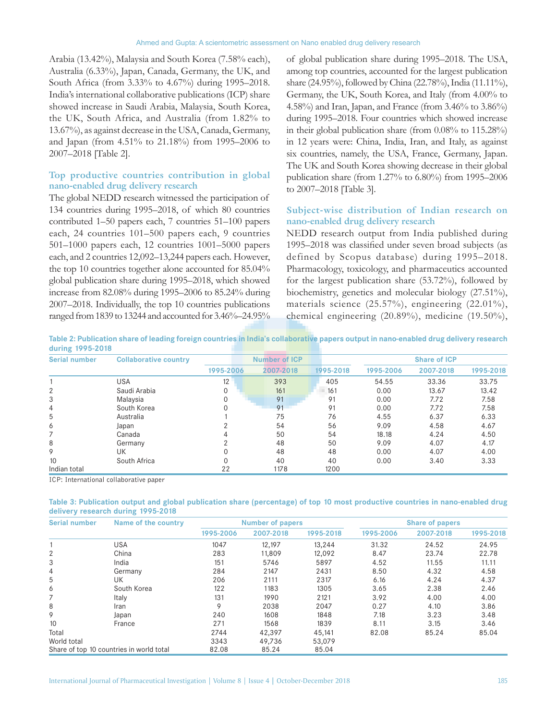Arabia (13.42%), Malaysia and South Korea (7.58% each), Australia (6.33%), Japan, Canada, Germany, the UK, and South Africa (from 3.33% to 4.67%) during 1995–2018. India's international collaborative publications (ICP) share showed increase in Saudi Arabia, Malaysia, South Korea, the UK, South Africa, and Australia (from 1.82% to 13.67%), as against decrease in the USA, Canada, Germany, and Japan (from 4.51% to 21.18%) from 1995–2006 to 2007–2018 [Table 2].

## **Top productive countries contribution in global nano‑enabled drug delivery research**

The global NEDD research witnessed the participation of 134 countries during 1995–2018, of which 80 countries contributed 1–50 papers each, 7 countries 51–100 papers each, 24 countries 101–500 papers each, 9 countries 501–1000 papers each, 12 countries 1001–5000 papers each, and 2 countries 12,092–13,244 papers each. However, the top 10 countries together alone accounted for 85.04% global publication share during 1995–2018, which showed increase from 82.08% during 1995–2006 to 85.24% during 2007–2018. Individually, the top 10 countries publications ranged from 1839 to 13244 and accounted for 3.46%–24.95% of global publication share during 1995–2018. The USA, among top countries, accounted for the largest publication share (24.95%), followed by China (22.78%), India (11.11%), Germany, the UK, South Korea, and Italy (from 4.00% to 4.58%) and Iran, Japan, and France (from 3.46% to 3.86%) during 1995–2018. Four countries which showed increase in their global publication share (from 0.08% to 115.28%) in 12 years were: China, India, Iran, and Italy, as against six countries, namely, the USA, France, Germany, Japan. The UK and South Korea showing decrease in their global publication share (from 1.27% to 6.80%) from 1995–2006 to 2007–2018 [Table 3].

## **Subject‑wise distribution of Indian research on nano‑enabled drug delivery research**

NEDD research output from India published during 1995–2018 was classified under seven broad subjects (as defined by Scopus database) during 1995–2018. Pharmacology, toxicology, and pharmaceutics accounted for the largest publication share (53.72%), followed by biochemistry, genetics and molecular biology (27.51%), materials science (25.57%), engineering (22.01%), chemical engineering (20.89%), medicine (19.50%),

**Table 2: Publication share of leading foreign countries in India's collaborative papers output in nano-enabled drug delivery research during 1995-2018**

| <b>Serial number</b> | <b>Collaborative country</b> | <b>Number of ICP</b> |           |           |           | <b>Share of ICP</b> |           |  |  |
|----------------------|------------------------------|----------------------|-----------|-----------|-----------|---------------------|-----------|--|--|
|                      |                              | 1995-2006            | 2007-2018 | 1995-2018 | 1995-2006 | 2007-2018           | 1995-2018 |  |  |
|                      | <b>USA</b>                   | 12                   | 393       | 405       | 54.55     | 33.36               | 33.75     |  |  |
| 2                    | Saudi Arabia                 |                      | 161       | 161       | 0.00      | 13.67               | 13.42     |  |  |
| 3                    | Malaysia                     |                      | 91        | 91        | 0.00      | 7.72                | 7.58      |  |  |
| 4                    | South Korea                  |                      | 91        | 91        | 0.00      | 7.72                | 7.58      |  |  |
| 5                    | Australia                    |                      | 75        | 76        | 4.55      | 6.37                | 6.33      |  |  |
| 6                    | Japan                        |                      | 54        | 56        | 9.09      | 4.58                | 4.67      |  |  |
|                      | Canada                       | 4                    | 50        | 54        | 18.18     | 4.24                | 4.50      |  |  |
| 8                    | Germany                      |                      | 48        | 50        | 9.09      | 4.07                | 4.17      |  |  |
| 9                    | UK                           |                      | 48        | 48        | 0.00      | 4.07                | 4.00      |  |  |
| 10                   | South Africa                 |                      | 40        | 40        | 0.00      | 3.40                | 3.33      |  |  |
| Indian total         |                              | 22                   | 1178      | 1200      |           |                     |           |  |  |

ICP: International collaborative paper

#### **Table 3: Publication output and global publication share (percentage) of top 10 most productive countries in nano-enabled drug delivery research during 1995-2018**

| <b>Serial number</b> | Name of the country                      |             | <b>Number of papers</b> |           |           | <b>Share of papers</b> |           |
|----------------------|------------------------------------------|-------------|-------------------------|-----------|-----------|------------------------|-----------|
|                      |                                          | 1995-2006   | 2007-2018               | 1995-2018 | 1995-2006 | 2007-2018              | 1995-2018 |
|                      | USA                                      | 1047        | 12,197                  | 13,244    | 31.32     | 24.52                  | 24.95     |
| 2                    | China                                    | 283         | 11,809                  | 12,092    | 8.47      | 23.74                  | 22.78     |
| 3                    | India                                    | 151         | 5746                    | 5897      | 4.52      | 11.55                  | 11.11     |
| 4                    | Germany                                  | 284         | 2147                    | 2431      | 8.50      | 4.32                   | 4.58      |
| 5                    | UK                                       | 206         | 2111                    | 2317      | 6.16      | 4.24                   | 4.37      |
| 6                    | South Korea                              | 122         | 1183                    | 1305      | 3.65      | 2.38                   | 2.46      |
|                      | Italy                                    | 131         | 1990                    | 2121      | 3.92      | 4.00                   | 4.00      |
| 8                    | Iran                                     | $\mathsf Q$ | 2038                    | 2047      | 0.27      | 4.10                   | 3.86      |
| 9                    | Japan                                    | 240         | 1608                    | 1848      | 7.18      | 3.23                   | 3.48      |
| 10                   | France                                   | 271         | 1568                    | 1839      | 8.11      | 3.15                   | 3.46      |
| Total                |                                          | 2744        | 42,397                  | 45.141    | 82.08     | 85.24                  | 85.04     |
| World total          |                                          | 3343        | 49,736                  | 53,079    |           |                        |           |
|                      | Share of top 10 countries in world total | 82.08       | 85.24                   | 85.04     |           |                        |           |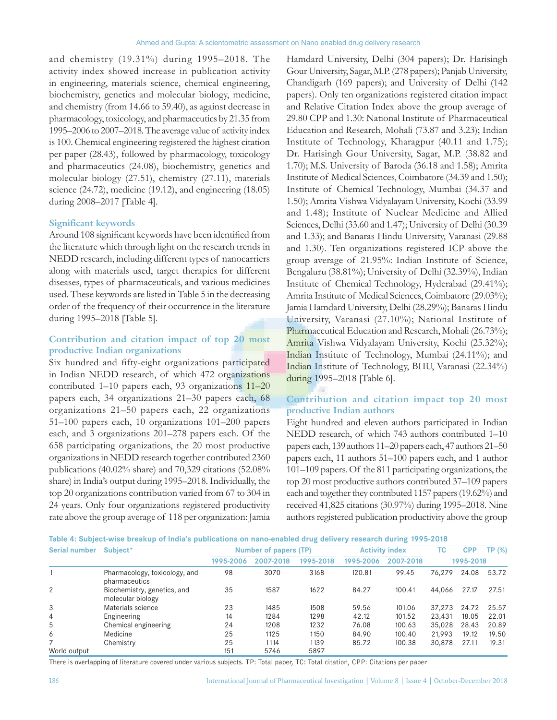and chemistry (19.31%) during 1995–2018. The activity index showed increase in publication activity in engineering, materials science, chemical engineering, biochemistry, genetics and molecular biology, medicine, and chemistry (from 14.66 to 59.40), as against decrease in pharmacology, toxicology, and pharmaceutics by 21.35 from 1995–2006 to 2007–2018. The average value of activity index is 100. Chemical engineering registered the highest citation per paper (28.43), followed by pharmacology, toxicology and pharmaceutics (24.08), biochemistry, genetics and molecular biology (27.51), chemistry (27.11), materials science (24.72), medicine (19.12), and engineering (18.05) during 2008–2017 [Table 4].

#### **Significant keywords**

Around 108 significant keywords have been identified from the literature which through light on the research trends in NEDD research, including different types of nanocarriers along with materials used, target therapies for different diseases, types of pharmaceuticals, and various medicines used. These keywords are listed in Table 5 in the decreasing order of the frequency of their occurrence in the literature during 1995–2018 [Table 5].

## **Contribution and citation impact of top 20 most productive Indian organizations**

Six hundred and fifty-eight organizations participated in Indian NEDD research, of which 472 organizations contributed 1–10 papers each, 93 organizations 11–20 papers each, 34 organizations 21–30 papers each, 68 organizations 21–50 papers each, 22 organizations 51–100 papers each, 10 organizations 101–200 papers each, and 3 organizations 201–278 papers each. Of the 658 participating organizations, the 20 most productive organizations in NEDD research together contributed 2360 publications (40.02% share) and 70,329 citations (52.08% share) in India's output during 1995–2018. Individually, the top 20 organizations contribution varied from 67 to 304 in 24 years. Only four organizations registered productivity rate above the group average of 118 per organization: Jamia

Hamdard University, Delhi (304 papers); Dr. Harisingh Gour University, Sagar, M.P. (278 papers); Panjab University, Chandigarh (169 papers); and University of Delhi (142 papers). Only ten organizations registered citation impact and Relative Citation Index above the group average of 29.80 CPP and 1.30: National Institute of Pharmaceutical Education and Research, Mohali (73.87 and 3.23); Indian Institute of Technology, Kharagpur (40.11 and 1.75); Dr. Harisingh Gour University, Sagar, M.P. (38.82 and 1.70); M.S. University of Baroda (36.18 and 1.58); Amrita Institute of Medical Sciences, Coimbatore (34.39 and 1.50); Institute of Chemical Technology, Mumbai (34.37 and 1.50); Amrita Vishwa Vidyalayam University, Kochi (33.99 and 1.48); Institute of Nuclear Medicine and Allied Sciences, Delhi (33.60 and 1.47); University of Delhi (30.39 and 1.33); and Banaras Hindu University, Varanasi (29.88 and 1.30). Ten organizations registered ICP above the group average of 21.95%: Indian Institute of Science, Bengaluru (38.81%); University of Delhi (32.39%), Indian Institute of Chemical Technology, Hyderabad (29.41%); Amrita Institute of Medical Sciences, Coimbatore (29.03%); Jamia Hamdard University, Delhi (28.29%); Banaras Hindu University, Varanasi (27.10%); National Institute of Pharmaceutical Education and Research, Mohali (26.73%); Amrita Vishwa Vidyalayam University, Kochi (25.32%); Indian Institute of Technology, Mumbai (24.11%); and Indian Institute of Technology, BHU, Varanasi (22.34%) during 1995–2018 [Table 6].

## **Contribution and citation impact top 20 most productive Indian authors**

Eight hundred and eleven authors participated in Indian NEDD research, of which 743 authors contributed 1–10 papers each, 139 authors 11–20 papers each, 47 authors 21–50 papers each, 11 authors 51–100 papers each, and 1 author 101–109 papers. Of the 811 participating organizations, the top 20 most productive authors contributed 37–109 papers each and together they contributed 1157 papers(19.62%) and received 41,825 citations (30.97%) during 1995–2018. Nine authors registered publication productivity above the group

| Table 4: Subject-wise breakup of India's publications on nano-enabled drug delivery research during 1995-2018 |  |  |  |  |
|---------------------------------------------------------------------------------------------------------------|--|--|--|--|
|---------------------------------------------------------------------------------------------------------------|--|--|--|--|

| Serial number | Subject*                                         |           | <b>Number of papers (TP)</b> |              |           | <b>Activity index</b> | ТC        | <b>CPP</b> | TP (%) |  |
|---------------|--------------------------------------------------|-----------|------------------------------|--------------|-----------|-----------------------|-----------|------------|--------|--|
|               |                                                  | 1995-2006 | 2007-2018                    | 1995-2018    | 1995-2006 | 2007-2018             | 1995-2018 |            |        |  |
|               | Pharmacology, toxicology, and<br>pharmaceutics   | 98        | 3070                         | 3168         | 120.81    | 99.45                 | 76,279    | 24.08      | 53.72  |  |
| 2             | Biochemistry, genetics, and<br>molecular biology | 35        | 1587                         | 1622         | 84.27     | 100.41                | 44,066    | 27.17      | 27.51  |  |
| 3             | Materials science                                | 23        | 1485                         | 1508         | 59.56     | 101.06                | 37.273    | 24.72      | 25.57  |  |
| 4             | Engineering                                      | 14        | 1284                         | 1298         | 42.12     | 101.52                | 23,431    | 18.05      | 22.01  |  |
| 5             | Chemical engineering                             | 24        | 1208                         | 1232         | 76.08     | 100.63                | 35,028    | 28.43      | 20.89  |  |
| 6             | Medicine                                         | 25        | 1125                         | 1150         | 84.90     | 100.40                | 21,993    | 19.12      | 19.50  |  |
| World output  | Chemistry                                        | 25<br>151 | 1114<br>5746                 | 1139<br>5897 | 85.72     | 100.38                | 30,878    | 27.11      | 19.31  |  |

There is overlapping of literature covered under various subjects. TP: Total paper, TC: Total citation, CPP: Citations per paper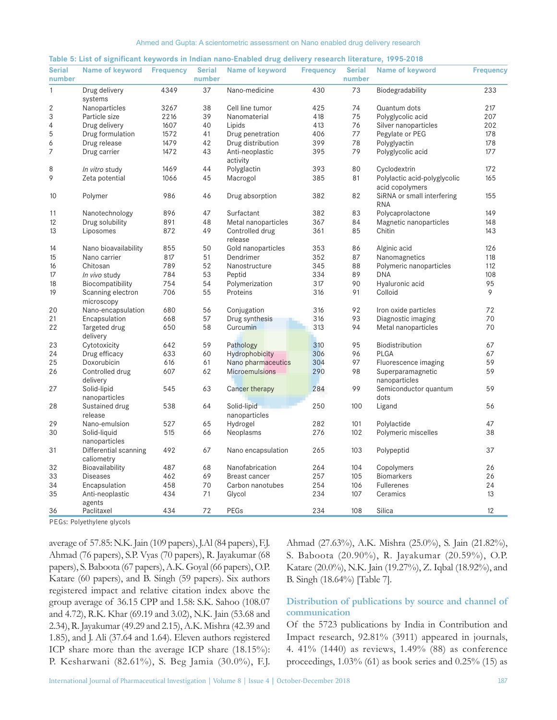| <b>Serial</b><br>number  | Name of keyword Frequency           |      | number | Serial Name of keyword       | <b>Frequency</b> | number | Serial Name of keyword                          | <b>Frequency</b> |
|--------------------------|-------------------------------------|------|--------|------------------------------|------------------|--------|-------------------------------------------------|------------------|
| $\mathbf{1}$             | Drug delivery<br>systems            | 4349 | 37     | Nano-medicine                | 430              | 73     | Biodegradability                                | 233              |
| 2                        | Nanoparticles                       | 3267 | 38     | Cell line tumor              | 425              | 74     | Quantum dots                                    | 217              |
| 3                        | Particle size                       | 2216 | 39     | Nanomaterial                 | 418              | 75     | Polyglycolic acid                               | 207              |
| $\overline{\mathcal{L}}$ | Drug delivery                       | 1607 | 40     | Lipids                       | 413              | 76     | Silver nanoparticles                            | 202              |
| 5                        | Drug formulation                    | 1572 | 41     | Drug penetration             | 406              | 77     | Pegylate or PEG                                 | 178              |
| 6                        | Drug release                        | 1479 | 42     | Drug distribution            | 399              | 78     | Polyglyactin                                    | 178              |
| $\overline{7}$           | Drug carrier                        | 1472 | 43     | Anti-neoplastic<br>activity  | 395              | 79     | Polyglycolic acid                               | 177              |
| 8                        | In vitro study                      | 1469 | 44     | Polyglactin                  | 393              | 80     | Cyclodextrin                                    | 172              |
| 9                        | Zeta potential                      | 1066 | 45     | Macrogol                     | 385              | 81     | Polylactic acid-polyglycolic<br>acid copolymers | 165              |
| 10                       | Polymer                             | 986  | 46     | Drug absorption              | 382              | 82     | SiRNA or small interfering<br><b>RNA</b>        | 155              |
| 11                       | Nanotechnology                      | 896  | 47     | Surfactant                   | 382              | 83     | Polycaprolactone                                | 149              |
| 12                       | Drug solubility                     | 891  | 48     | Metal nanoparticles          | 367              | 84     | Magnetic nanoparticles                          | 148              |
| 13                       | Liposomes                           | 872  | 49     | Controlled drug<br>release   | 361              | 85     | Chitin                                          | 143              |
| 14                       | Nano bioavailability                | 855  | 50     | Gold nanoparticles           | 353              | 86     | Alginic acid                                    | 126              |
| 15                       | Nano carrier                        | 817  | 51     | Dendrimer                    | 352              | 87     | Nanomagnetics                                   | 118              |
| 16                       | Chitosan                            | 789  | 52     | Nanostructure                | 345              | 88     | Polymeric nanoparticles                         | 112              |
| 17                       | In vivo study                       | 784  | 53     | Peptid                       | 334              | 89     | <b>DNA</b>                                      | 108              |
| 18                       | Biocompatibility                    | 754  | 54     | Polymerization               | 317              | 90     | Hyaluronic acid                                 | 95               |
| 19                       | Scanning electron<br>microscopy     | 706  | 55     | Proteins                     | 316              | 91     | Colloid                                         | 9                |
| 20                       | Nano-encapsulation                  | 680  | 56     | Conjugation                  | 316              | 92     | Iron oxide particles                            | 72               |
| 21                       | Encapsulation                       | 668  | 57     | Drug synthesis               | 316              | 93     | Diagnostic imaging                              | 70               |
| 22                       | Targeted drug<br>delivery           | 650  | 58     | Curcumin                     | 313              | 94     | Metal nanoparticles                             | 70               |
| 23                       | Cytotoxicity                        | 642  | 59     | Pathology                    | 310              | 95     | Biodistribution                                 | 67               |
| 24                       | Drug efficacy                       | 633  | 60     | Hydrophobicity               | 306              | 96     | PLGA                                            | 67               |
| 25                       | Doxorubicin                         | 616  | 61     | Nano pharmaceutics           | 304              | 97     | Fluorescence imaging                            | 59               |
| 26                       | Controlled drug<br>delivery         | 607  | 62     | <b>Microemulsions</b>        | 290              | 98     | Superparamagnetic<br>nanoparticles              | 59               |
| 27                       | Solid-lipid<br>nanoparticles        | 545  | 63     | Cancer therapy               | 284              | 99     | Semiconductor quantum<br>dots                   | 59               |
| 28                       | Sustained drug<br>release           | 538  | 64     | Solid-lipid<br>nanoparticles | 250              | 100    | Ligand                                          | 56               |
| 29                       | Nano-emulsion                       | 527  | 65     | Hydrogel                     | 282              | 101    | Polylactide                                     | 47               |
| 30                       | Solid-liquid<br>nanoparticles       | 515  | 66     | Neoplasms                    | 276              | 102    | Polymeric miscelles                             | 38               |
| 31                       | Differential scanning<br>caliometry | 492  | 67     | Nano encapsulation           | 265              | 103    | Polypeptid                                      | 37               |
| 32                       | Bioavailability                     | 487  | 68     | Nanofabrication              | 264              | 104    | Copolymers                                      | 26               |
| 33                       | <b>Diseases</b>                     | 462  | 69     | Breast cancer                | 257              | 105    | <b>Biomarkers</b>                               | 26               |
| 34                       | Encapsulation                       | 458  | 70     | Carbon nanotubes             | 254              | 106    | Fullerenes                                      | 24               |
| 35                       | Anti-neoplastic                     | 434  | 71     | Glycol                       | 234              | 107    | Ceramics                                        | 13               |
| 36                       | agents<br>Paclitaxel                | 434  | 72     | PEGs                         | 234              | 108    | Silica                                          | 12               |

| Table 5: List of significant keywords in Indian nano-Enabled drug delivery research literature, 1995-2018 |  |  |
|-----------------------------------------------------------------------------------------------------------|--|--|
|-----------------------------------------------------------------------------------------------------------|--|--|

PEGs: Polyethylene glycols

average of 57.85: N.K. Jain (109 papers), J.Al (84 papers), F.J. Ahmad (76 papers), S.P. Vyas (70 papers), R. Jayakumar (68 papers), S. Baboota (67 papers), A.K. Goyal (66 papers), O.P. Katare (60 papers), and B. Singh (59 papers). Six authors registered impact and relative citation index above the group average of 36.15 CPP and 1.58: S.K. Sahoo (108.07 and 4.72), R.K. Khar (69.19 and 3.02), N.K. Jain (53.68 and 2.34), R. Jayakumar(49.29 and 2.15), A.K. Mishra (42.39 and 1.85), and J. Ali (37.64 and 1.64). Eleven authors registered ICP share more than the average ICP share (18.15%): P. Kesharwani (82.61%), S. Beg Jamia (30.0%), F.J. Ahmad (27.63%), A.K. Mishra (25.0%), S. Jain (21.82%), S. Baboota (20.90%), R. Jayakumar (20.59%), O.P. Katare (20.0%), N.K. Jain (19.27%), Z. Iqbal (18.92%), and B. Singh (18.64%) [Table 7].

## **Distribution of publications by source and channel of communication**

Of the 5723 publications by India in Contribution and Impact research, 92.81% (3911) appeared in journals, 4. 41% (1440) as reviews, 1.49% (88) as conference proceedings, 1.03% (61) as book series and 0.25% (15) as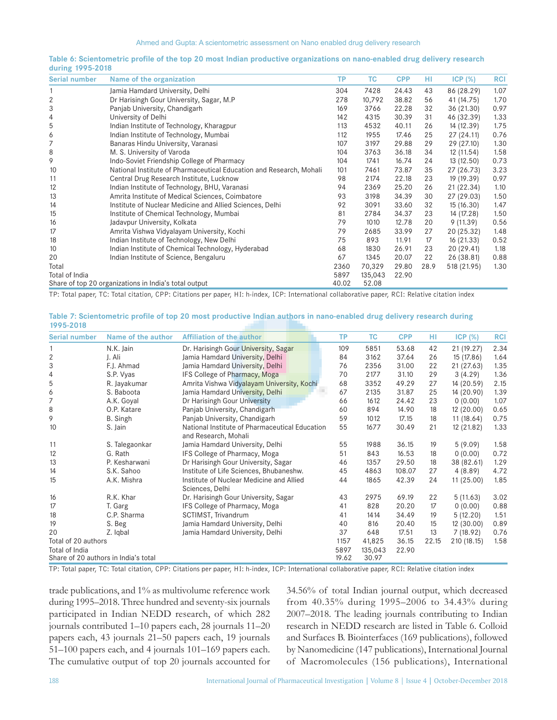| 0.01111517772200 |                                                                     |           |           |            |      |             |            |
|------------------|---------------------------------------------------------------------|-----------|-----------|------------|------|-------------|------------|
| Serial number    | Name of the organization                                            | <b>TP</b> | <b>TC</b> | <b>CPP</b> | HI   | $ICP (\%)$  | <b>RCI</b> |
|                  | Jamia Hamdard University, Delhi                                     | 304       | 7428      | 24.43      | 43   | 86 (28.29)  | 1.07       |
| $\overline{2}$   | Dr Harisingh Gour University, Sagar, M.P                            | 278       | 10,792    | 38.82      | 56   | 41 (14.75)  | 1.70       |
| 3                | Panjab University, Chandigarh                                       | 169       | 3766      | 22.28      | 32   | 36 (21.30)  | 0.97       |
| 4                | University of Delhi                                                 | 142       | 4315      | 30.39      | 31   | 46 (32.39)  | 1.33       |
| 5                | Indian Institute of Technology, Kharagpur                           | 113       | 4532      | 40.11      | 26   | 14 (12.39)  | 1.75       |
| 6                | Indian Institute of Technology, Mumbai                              | 112       | 1955      | 17.46      | 25   | 27(24.11)   | 0.76       |
| 7                | Banaras Hindu University, Varanasi                                  | 107       | 3197      | 29.88      | 29   | 29 (27.10)  | 1.30       |
| 8                | M. S. University of Varoda                                          | 104       | 3763      | 36.18      | 34   | 12 (11.54)  | 1.58       |
| 9                | Indo-Soviet Friendship College of Pharmacy                          | 104       | 1741      | 16.74      | 24   | 13(12.50)   | 0.73       |
| 10               | National Institute of Pharmaceutical Education and Research, Mohali | 101       | 7461      | 73.87      | 35   | 27 (26.73)  | 3.23       |
| 11               | Central Drug Research Institute, Lucknow                            | 98        | 2174      | 22.18      | 23   | 19 (19.39)  | 0.97       |
| 12               | Indian Institute of Technology, BHU, Varanasi                       | 94        | 2369      | 25.20      | 26   | 21 (22.34)  | 1.10       |
| 13               | Amrita Institute of Medical Sciences, Coimbatore                    | 93        | 3198      | 34.39      | 30   | 27 (29.03)  | 1.50       |
| 14               | Institute of Nuclear Medicine and Allied Sciences, Delhi            | 92        | 3091      | 33.60      | 32   | 15(16.30)   | 1.47       |
| 15               | Institute of Chemical Technology, Mumbai                            | 81        | 2784      | 34.37      | 23   | 14 (17.28)  | 1.50       |
| 16               | Jadavpur University, Kolkata                                        | 79        | 1010      | 12.78      | 20   | 9(11.39)    | 0.56       |
| 17               | Amrita Vishwa Vidyalayam University, Kochi                          | 79        | 2685      | 33.99      | 27   | 20 (25.32)  | 1.48       |
| 18               | Indian Institute of Technology, New Delhi                           | 75        | 893       | 11.91      | 17   | 16 (21.33)  | 0.52       |
| 10               | Indian Institute of Chemical Technology, Hyderabad                  | 68        | 1830      | 26.91      | 23   | 20 (29.41)  | 1.18       |
| 20               | Indian Institute of Science, Bengaluru                              | 67        | 1345      | 20.07      | 22   | 26 (38.81)  | 0.88       |
| Total            |                                                                     | 2360      | 70,329    | 29.80      | 28.9 | 518 (21.95) | 1.30       |
| Total of India   |                                                                     | 5897      | 135,043   | 22.90      |      |             |            |
|                  | Share of top 20 organizations in India's total output               | 40.02     | 52.08     |            |      |             |            |

#### **Table 6: Scientometric profile of the top 20 most Indian productive organizations on nano-enabled drug delivery research during 1995-2018**

TP: Total paper, TC: Total citation, CPP: Citations per paper, HI: h-index, ICP: International collaborative paper, RCI: Relative citation index

| Table 7: Scientometric profile of top 20 most productive Indian authors in nano-enabled drug delivery research during |  |  |
|-----------------------------------------------------------------------------------------------------------------------|--|--|
| 1995-2018                                                                                                             |  |  |

| <b>Serial number</b> | Name of the author                   | <b>Affiliation of the author</b>               | ТP    | <b>TC</b> | <b>CPP</b> | HI    | $ICP$ $(\%)$ | <b>RCI</b> |
|----------------------|--------------------------------------|------------------------------------------------|-------|-----------|------------|-------|--------------|------------|
|                      | N.K. Jain                            | Dr. Harisingh Gour University, Sagar           | 109   | 5851      | 53.68      | 42    | 21 (19.27)   | 2.34       |
| $\overline{2}$       | J. Ali                               | Jamia Hamdard University, Delhi                | 84    | 3162      | 37.64      | 26    | 15 (17.86)   | 1.64       |
| 3                    | F.J. Ahmad                           | Jamia Hamdard University, Delhi                | 76    | 2356      | 31.00      | 22    | 21 (27.63)   | 1.35       |
| 4                    | S.P. Vyas                            | IFS College of Pharmacy, Moga                  | 70    | 2177      | 31.10      | 29    | 3(4.29)      | 1.36       |
| 5                    | R. Jayakumar                         | Amrita Vishwa Vidyalayam University, Kochi     | 68    | 3352      | 49.29      | 27    | 14 (20.59)   | 2.15       |
| 6                    | S. Baboota                           | Jamia Hamdard University, Delhi                | 67    | 2135      | 31.87      | 25    | 14 (20.90)   | 1.39       |
| 7                    | A.K. Goval                           | Dr Harisingh Gour University                   | 66    | 1612      | 24.42      | 23    | 0(0.00)      | 1.07       |
| 8                    | O.P. Katare                          | Panjab University, Chandigarh                  | 60    | 894       | 14.90      | 18    | 12 (20.00)   | 0.65       |
| 9                    | B. Singh                             | Panjab University, Chandigarh                  | 59    | 1012      | 17.15      | 18    | 11(18.64)    | 0.75       |
| 10                   | S. Jain                              | National Institute of Pharmaceutical Education | 55    | 1677      | 30.49      | 21    | 12 (21.82)   | 1.33       |
|                      |                                      | and Research, Mohali                           |       |           |            |       |              |            |
| 11                   | S. Talegaonkar                       | Jamia Hamdard University, Delhi                | 55    | 1988      | 36.15      | 19    | 5(9.09)      | 1.58       |
| 12                   | G. Rath                              | IFS College of Pharmacy, Moga                  | 51    | 843       | 16.53      | 18    | 0(0.00)      | 0.72       |
| 13                   | P. Kesharwani                        | Dr Harisingh Gour University, Sagar            | 46    | 1357      | 29.50      | 18    | 38 (82.61)   | 1.29       |
| 14                   | S.K. Sahoo                           | Institute of Life Sciences, Bhubaneshw.        | 45    | 4863      | 108.07     | 27    | 4(8.89)      | 4.72       |
| 15                   | A.K. Mishra                          | Institute of Nuclear Medicine and Allied       | 44    | 1865      | 42.39      | 24    | 11(25.00)    | 1.85       |
|                      |                                      | Sciences, Delhi                                |       |           |            |       |              |            |
| 16                   | R.K. Khar                            | Dr. Harisingh Gour University, Sagar           | 43    | 2975      | 69.19      | 22    | 5(11.63)     | 3.02       |
| 17                   | T. Garg                              | IFS College of Pharmacy, Moga                  | 41    | 828       | 20.20      | 17    | 0(0.00)      | 0.88       |
| 18                   | C.P. Sharma                          | SCTIMST, Trivandrum                            | 41    | 1414      | 34.49      | 19    | 5(12.20)     | 1.51       |
| 19                   | S. Beg                               | Jamia Hamdard University, Delhi                | 40    | 816       | 20.40      | 15    | 12 (30.00)   | 0.89       |
| 20                   | Z. Iqbal                             | Jamia Hamdard University, Delhi                | 37    | 648       | 17.51      | 13    | 7(18.92)     | 0.76       |
| Total of 20 authors  |                                      |                                                | 1157  | 41,825    | 36.15      | 22.15 | 210 (18.15)  | 1.58       |
| Total of India       |                                      |                                                | 5897  | 135,043   | 22.90      |       |              |            |
|                      | Share of 20 authors in India's total |                                                | 19.62 | 30.97     |            |       |              |            |

TP: Total paper, TC: Total citation, CPP: Citations per paper, HI: h‑index, ICP: International collaborative paper, RCI: Relative citation index

trade publications, and 1% as multivolume reference work during 1995–2018. Three hundred and seventy-six journals participated in Indian NEDD research, of which 282 journals contributed 1–10 papers each, 28 journals 11–20 papers each, 43 journals 21–50 papers each, 19 journals 51–100 papers each, and 4 journals 101–169 papers each. The cumulative output of top 20 journals accounted for 34.56% of total Indian journal output, which decreased from 40.35% during 1995–2006 to 34.43% during 2007–2018. The leading journals contributing to Indian research in NEDD research are listed in Table 6. Colloid and Surfaces B. Biointerfaces (169 publications), followed by Nanomedicine (147 publications), International Journal of Macromolecules (156 publications), International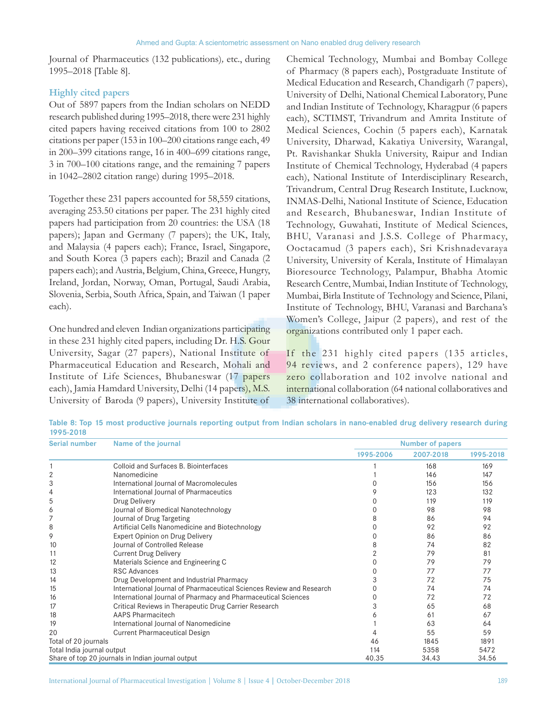Journal of Pharmaceutics (132 publications)*,* etc., during 1995–2018 [Table 8].

## **Highly cited papers**

Out of 5897 papers from the Indian scholars on NEDD research published during 1995–2018, there were 231 highly cited papers having received citations from 100 to 2802 citations per paper (153 in 100–200 citations range each, 49 in 200–399 citations range, 16 in 400–699 citations range, 3 in 700–100 citations range, and the remaining 7 papers in 1042–2802 citation range) during 1995–2018.

Together these 231 papers accounted for 58,559 citations, averaging 253.50 citations per paper. The 231 highly cited papers had participation from 20 countries: the USA (18 papers); Japan and Germany (7 papers); the UK, Italy, and Malaysia (4 papers each); France, Israel, Singapore, and South Korea (3 papers each); Brazil and Canada (2 papers each); and Austria, Belgium, China, Greece, Hungry, Ireland, Jordan, Norway, Oman, Portugal, Saudi Arabia, Slovenia, Serbia, South Africa, Spain, and Taiwan (1 paper each).

One hundred and eleven Indian organizations participating in these 231 highly cited papers, including Dr. H.S. Gour University, Sagar (27 papers), National Institute of Pharmaceutical Education and Research, Mohali and Institute of Life Sciences, Bhubaneswar (17 papers each), Jamia Hamdard University, Delhi (14 papers), M.S. University of Baroda (9 papers), University Institute of

Chemical Technology, Mumbai and Bombay College of Pharmacy (8 papers each), Postgraduate Institute of Medical Education and Research, Chandigarh (7 papers), University of Delhi, National Chemical Laboratory, Pune and Indian Institute of Technology, Kharagpur (6 papers each), SCTIMST, Trivandrum and Amrita Institute of Medical Sciences, Cochin (5 papers each), Karnatak University, Dharwad, Kakatiya University, Warangal, Pt. Ravishankar Shukla University, Raipur and Indian Institute of Chemical Technology, Hyderabad (4 papers each), National Institute of Interdisciplinary Research, Trivandrum, Central Drug Research Institute, Lucknow, INMAS-Delhi, National Institute of Science, Education and Research, Bhubaneswar, Indian Institute of Technology, Guwahati, Institute of Medical Sciences, BHU, Varanasi and J.S.S. College of Pharmacy, Ooctacamud (3 papers each), Sri Krishnadevaraya University, University of Kerala, Institute of Himalayan Bioresource Technology, Palampur, Bhabha Atomic Research Centre, Mumbai, Indian Institute of Technology, Mumbai, Birla Institute of Technology and Science, Pilani, Institute of Technology, BHU, Varanasi and Barchana's Women's College, Jaipur (2 papers), and rest of the organizations contributed only 1 paper each.

If the 231 highly cited papers (135 articles, 94 reviews, and 2 conference papers), 129 have zero collaboration and 102 involve national and international collaboration (64 national collaboratives and 38 international collaboratives).

**Table 8: Top 15 most productive journals reporting output from Indian scholars in nano-enabled drug delivery research during 1995-2018**

| <b>Serial number</b>                              | Name of the journal                                                  | <b>Number of papers</b> |           |           |
|---------------------------------------------------|----------------------------------------------------------------------|-------------------------|-----------|-----------|
|                                                   |                                                                      | 1995-2006               | 2007-2018 | 1995-2018 |
|                                                   | Colloid and Surfaces B. Biointerfaces                                |                         | 168       | 169       |
|                                                   | Nanomedicine                                                         |                         | 146       | 147       |
| 3                                                 | International Journal of Macromolecules                              |                         | 156       | 156       |
| 4                                                 | International Journal of Pharmaceutics                               |                         | 123       | 132       |
| 5                                                 | Drug Delivery                                                        |                         | 119       | 119       |
| 6                                                 | Journal of Biomedical Nanotechnology                                 |                         | 98        | 98        |
| 7                                                 | Journal of Drug Targeting                                            |                         | 86        | 94        |
| 8                                                 | Artificial Cells Nanomedicine and Biotechnology                      |                         | 92        | 92        |
| 9                                                 | Expert Opinion on Drug Delivery                                      |                         | 86        | 86        |
| 10                                                | <b>Journal of Controlled Release</b>                                 | 8                       | 74        | 82        |
| 11                                                | <b>Current Drug Delivery</b>                                         |                         | 79        | 81        |
| 12                                                | Materials Science and Engineering C                                  |                         | 79        | 79        |
| 13                                                | <b>RSC Advances</b>                                                  |                         | 77        | 77        |
| 14                                                | Drug Development and Industrial Pharmacy                             |                         | 72        | 75        |
| 15                                                | International Journal of Pharmaceutical Sciences Review and Research |                         | 74        | 74        |
| 16                                                | International Journal of Pharmacy and Pharmaceutical Sciences        |                         | 72        | 72        |
| 17                                                | Critical Reviews in Therapeutic Drug Carrier Research                |                         | 65        | 68        |
| 18                                                | AAPS Pharmacitech                                                    |                         | 61        | 67        |
| 19                                                | International Journal of Nanomedicine                                |                         | 63        | 64        |
| 20                                                | <b>Current Pharmaceutical Design</b>                                 |                         | 55        | 59        |
| Total of 20 journals                              |                                                                      | 46                      | 1845      | 1891      |
| Total India journal output                        |                                                                      | 114                     | 5358      | 5472      |
| Share of top 20 journals in Indian journal output |                                                                      | 40.35                   | 34.43     | 34.56     |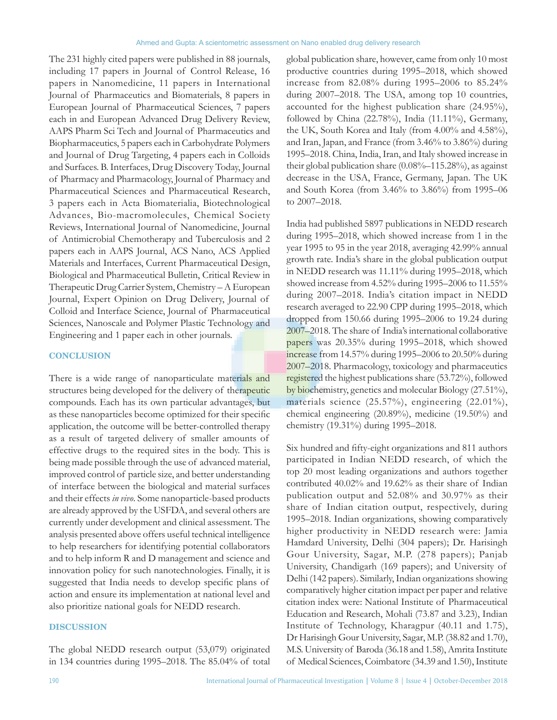The 231 highly cited papers were published in 88 journals, including 17 papers in Journal of Control Release, 16 papers in Nanomedicine, 11 papers in International Journal of Pharmaceutics and Biomaterials, 8 papers in European Journal of Pharmaceutical Sciences, 7 papers each in and European Advanced Drug Delivery Review, AAPS Pharm Sci Tech and Journal of Pharmaceutics and Biopharmaceutics, 5 papers each in Carbohydrate Polymers and Journal of Drug Targeting, 4 papers each in Colloids and Surfaces. B. Interfaces, Drug Discovery Today, Journal of Pharmacy and Pharmacology, Journal of Pharmacy and Pharmaceutical Sciences and Pharmaceutical Research, 3 papers each in Acta Biomaterialia, Biotechnological Advances, Bio-macromolecules, Chemical Society Reviews, International Journal of Nanomedicine, Journal of Antimicrobial Chemotherapy and Tuberculosis and 2 papers each in AAPS Journal, ACS Nano, ACS Applied Materials and Interfaces, Current Pharmaceutical Design, Biological and Pharmaceutical Bulletin, Critical Review in Therapeutic Drug Carrier System, Chemistry –A European Journal, Expert Opinion on Drug Delivery, Journal of Colloid and Interface Science, Journal of Pharmaceutical Sciences, Nanoscale and Polymer Plastic Technology and Engineering and 1 paper each in other journals.

#### **CONCLUSION**

There is a wide range of nanoparticulate materials and structures being developed for the delivery of therapeutic compounds. Each has its own particular advantages, but as these nanoparticles become optimized for their specific application, the outcome will be better-controlled therapy as a result of targeted delivery of smaller amounts of effective drugs to the required sites in the body. This is being made possible through the use of advanced material, improved control of particle size, and better understanding of interface between the biological and material surfaces and their effects *in vivo*. Some nanoparticle-based products are already approved by the USFDA, and several others are currently under development and clinical assessment. The analysis presented above offers useful technical intelligence to help researchers for identifying potential collaborators and to help inform R and D management and science and innovation policy for such nanotechnologies. Finally, it is suggested that India needs to develop specific plans of action and ensure its implementation at national level and also prioritize national goals for NEDD research.

### **DISCUSSION**

The global NEDD research output (53,079) originated in 134 countries during 1995–2018. The 85.04% of total global publication share, however, came from only 10 most productive countries during 1995–2018, which showed increase from 82.08% during 1995–2006 to 85.24% during 2007–2018. The USA, among top 10 countries, accounted for the highest publication share (24.95%), followed by China (22.78%), India (11.11%), Germany, the UK, South Korea and Italy (from 4.00% and 4.58%), and Iran, Japan, and France (from 3.46% to 3.86%) during 1995–2018. China, India, Iran, and Italy showed increase in their global publication share (0.08%–115.28%), as against decrease in the USA, France, Germany, Japan. The UK and South Korea (from 3.46% to 3.86%) from 1995–06 to 2007–2018.

India had published 5897 publications in NEDD research during 1995–2018, which showed increase from 1 in the year 1995 to 95 in the year 2018, averaging 42.99% annual growth rate. India's share in the global publication output in NEDD research was 11.11% during 1995–2018, which showed increase from 4.52% during 1995–2006 to 11.55% during 2007–2018. India's citation impact in NEDD research averaged to 22.90 CPP during 1995–2018, which dropped from 150.66 during 1995–2006 to 19.24 during 2007–2018. The share of India's international collaborative papers was 20.35% during 1995–2018, which showed increase from 14.57% during 1995–2006 to 20.50% during 2007–2018. Pharmacology, toxicology and pharmaceutics registered the highest publications share (53.72%), followed by biochemistry, genetics and molecular Biology (27.51%), materials science (25.57%), engineering (22.01%), chemical engineering (20.89%), medicine (19.50%) and chemistry (19.31%) during 1995–2018.

Six hundred and fifty-eight organizations and 811 authors participated in Indian NEDD research, of which the top 20 most leading organizations and authors together contributed 40.02% and 19.62% as their share of Indian publication output and 52.08% and 30.97% as their share of Indian citation output, respectively, during 1995–2018. Indian organizations, showing comparatively higher productivity in NEDD research were: Jamia Hamdard University, Delhi (304 papers); Dr. Harisingh Gour University, Sagar, M.P. (278 papers); Panjab University, Chandigarh (169 papers); and University of Delhi (142 papers). Similarly, Indian organizations showing comparatively higher citation impact per paper and relative citation index were: National Institute of Pharmaceutical Education and Research, Mohali (73.87 and 3.23), Indian Institute of Technology, Kharagpur (40.11 and 1.75), Dr Harisingh Gour University, Sagar, M.P. (38.82 and 1.70), M.S. University of Baroda (36.18 and 1.58), Amrita Institute of Medical Sciences, Coimbatore (34.39 and 1.50), Institute